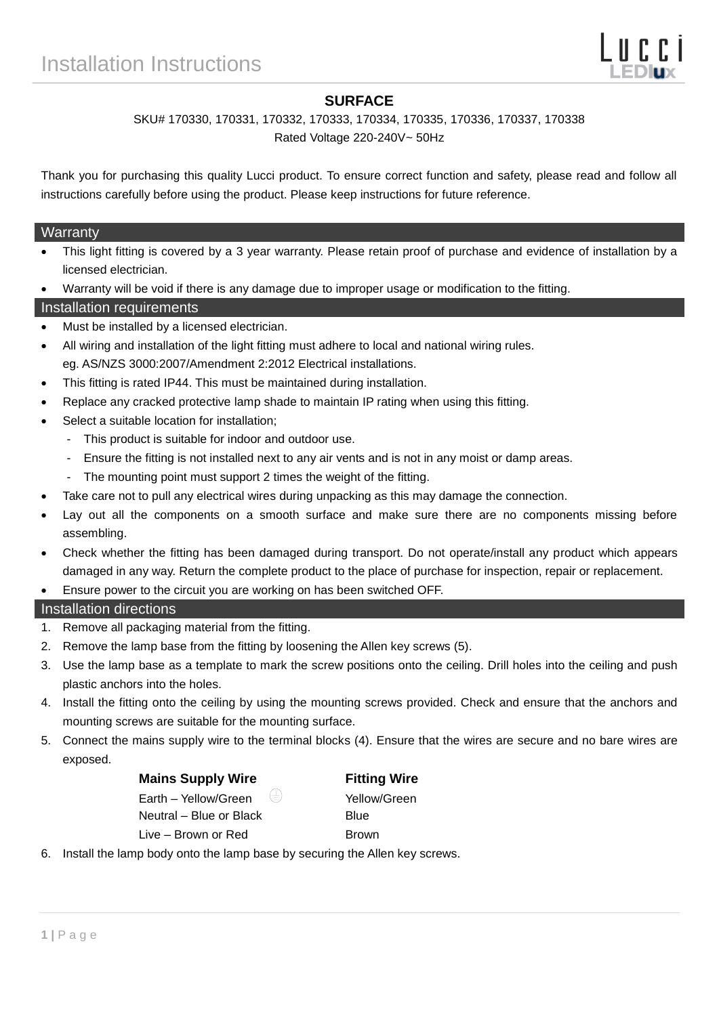## **SURFACE**

# SKU# 170330, 170331, 170332, 170333, 170334, 170335, 170336, 170337, 170338

Rated Voltage 220-240V~ 50Hz

Thank you for purchasing this quality Lucci product. To ensure correct function and safety, please read and follow all instructions carefully before using the product. Please keep instructions for future reference.

#### **Warranty**

- This light fitting is covered by a 3 year warranty. Please retain proof of purchase and evidence of installation by a licensed electrician.
- Warranty will be void if there is any damage due to improper usage or modification to the fitting.

#### Installation requirements

- Must be installed by a licensed electrician.
- All wiring and installation of the light fitting must adhere to local and national wiring rules. eg. AS/NZS 3000:2007/Amendment 2:2012 Electrical installations.
- This fitting is rated IP44. This must be maintained during installation.
- Replace any cracked protective lamp shade to maintain IP rating when using this fitting.
- Select a suitable location for installation;
	- This product is suitable for indoor and outdoor use.
	- Ensure the fitting is not installed next to any air vents and is not in any moist or damp areas.
	- The mounting point must support 2 times the weight of the fitting.
- Take care not to pull any electrical wires during unpacking as this may damage the connection.
- Lay out all the components on a smooth surface and make sure there are no components missing before assembling.
- Check whether the fitting has been damaged during transport. Do not operate/install any product which appears damaged in any way. Return the complete product to the place of purchase for inspection, repair or replacement.
- Ensure power to the circuit you are working on has been switched OFF.

### Installation directions

- 1. Remove all packaging material from the fitting.
- 2. Remove the lamp base from the fitting by loosening the Allen key screws (5).
- 3. Use the lamp base as a template to mark the screw positions onto the ceiling. Drill holes into the ceiling and push plastic anchors into the holes.
- 4. Install the fitting onto the ceiling by using the mounting screws provided. Check and ensure that the anchors and mounting screws are suitable for the mounting surface.
- 5. Connect the mains supply wire to the terminal blocks (4). Ensure that the wires are secure and no bare wires are exposed.

#### **Mains Supply Wire Fitting Wire**

Earth – Yellow/Green  $\left(\frac{1}{2}\right)$  Yellow/Green

Neutral – Blue or Black Blue

Live – Brown or Red Brown

6. Install the lamp body onto the lamp base by securing the Allen key screws.